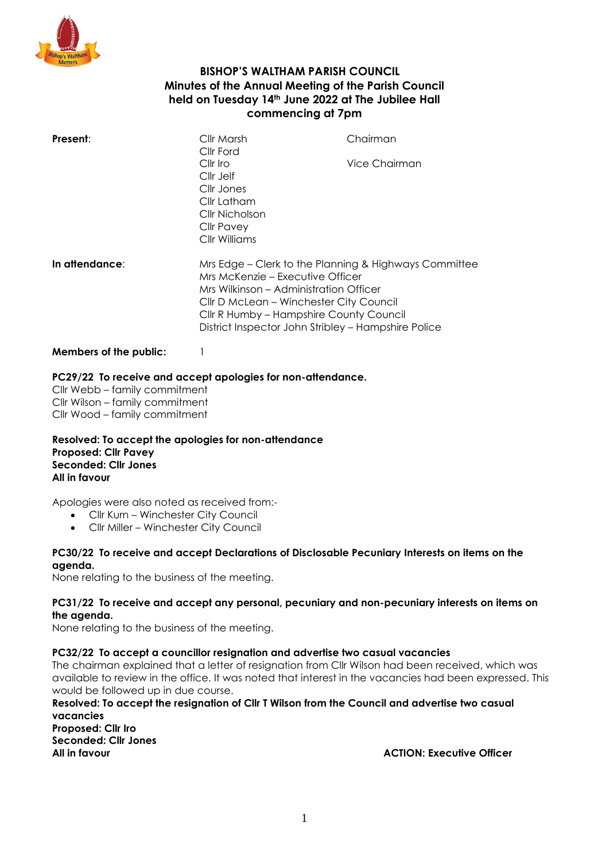

## **BISHOP'S WALTHAM PARISH COUNCIL Minutes of the Annual Meeting of the Parish Council held on Tuesday 14th June 2022 at The Jubilee Hall commencing at 7pm**

| Present:       | Cllr Marsh<br>Cllr Ford<br>$Clir$ Iro<br>Cllr Jelf<br>Cllr Jones<br>Cllr Latham<br>Cllr Nicholson<br>Cllr Pavey<br>Cllr Williams | Chairman<br>Vice Chairman                                                                                                                                                                                                                    |  |
|----------------|----------------------------------------------------------------------------------------------------------------------------------|----------------------------------------------------------------------------------------------------------------------------------------------------------------------------------------------------------------------------------------------|--|
| In attendance: | Mrs McKenzie - Executive Officer                                                                                                 | Mrs Edge – Clerk to the Planning & Highways Committee<br>Mrs Wilkinson – Administration Officer<br>Cllr D McLean – Winchester City Council<br>Cllr R Humby – Hampshire County Council<br>District Inspector John Stribley - Hampshire Police |  |

#### **Members of the public:** 1

#### **PC29/22 To receive and accept apologies for non-attendance.**

Cllr Webb – family commitment Cllr Wilson – family commitment Cllr Wood – family commitment

**Resolved: To accept the apologies for non-attendance Proposed: Cllr Pavey Seconded: Cllr Jones All in favour**

Apologies were also noted as received from:-

- Cllr Kurn Winchester City Council
- Cllr Miller Winchester City Council

#### **PC30/22 To receive and accept Declarations of Disclosable Pecuniary Interests on items on the agenda.**

None relating to the business of the meeting.

#### **PC31/22 To receive and accept any personal, pecuniary and non-pecuniary interests on items on the agenda.**

None relating to the business of the meeting.

## **PC32/22 To accept a councillor resignation and advertise two casual vacancies**

The chairman explained that a letter of resignation from Cllr Wilson had been received, which was available to review in the office. It was noted that interest in the vacancies had been expressed. This would be followed up in due course.

**Resolved: To accept the resignation of Cllr T Wilson from the Council and advertise two casual vacancies**

**Proposed: Cllr Iro Seconded: Cllr Jones**

**All in favour ACTION: Executive Officer**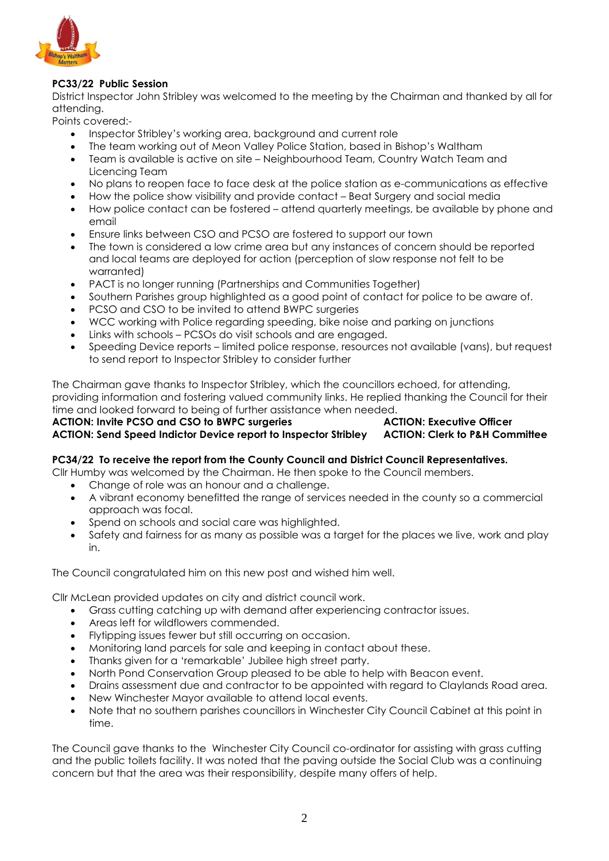

## **PC33/22 Public Session**

District Inspector John Stribley was welcomed to the meeting by the Chairman and thanked by all for attending.

Points covered:-

- Inspector Stribley's working area, background and current role
- The team working out of Meon Valley Police Station, based in Bishop's Waltham
- Team is available is active on site Neighbourhood Team, Country Watch Team and Licencing Team
- No plans to reopen face to face desk at the police station as e-communications as effective
- How the police show visibility and provide contact Beat Surgery and social media
- How police contact can be fostered attend quarterly meetings, be available by phone and email
- Ensure links between CSO and PCSO are fostered to support our town
- The town is considered a low crime area but any instances of concern should be reported and local teams are deployed for action (perception of slow response not felt to be warranted)
- PACT is no longer running (Partnerships and Communities Together)
- Southern Parishes group highlighted as a good point of contact for police to be aware of.
- PCSO and CSO to be invited to attend BWPC surgeries
- WCC working with Police regarding speeding, bike noise and parking on junctions
- Links with schools PCSOs do visit schools and are engaged.
- Speeding Device reports limited police response, resources not available (vans), but request to send report to Inspector Stribley to consider further

The Chairman gave thanks to Inspector Stribley, which the councillors echoed, for attending, providing information and fostering valued community links. He replied thanking the Council for their time and looked forward to being of further assistance when needed.

# **ACTION: Invite PCSO and CSO to BWPC surgeries ACTION: Executive Officer ACTION: Send Speed Indictor Device report to Inspector Stribley ACTION: Clerk to P&H Committee**

## **PC34/22 To receive the report from the County Council and District Council Representatives.**

Cllr Humby was welcomed by the Chairman. He then spoke to the Council members.

- Change of role was an honour and a challenge.
- A vibrant economy benefitted the range of services needed in the county so a commercial approach was focal.
- Spend on schools and social care was highlighted.
- Safety and fairness for as many as possible was a target for the places we live, work and play in.

The Council congratulated him on this new post and wished him well.

Cllr McLean provided updates on city and district council work.

- Grass cutting catching up with demand after experiencing contractor issues.
- Areas left for wildflowers commended.
- Flytipping issues fewer but still occurring on occasion.
- Monitoring land parcels for sale and keeping in contact about these.
- Thanks given for a 'remarkable' Jubilee high street party.
- North Pond Conservation Group pleased to be able to help with Beacon event.
- Drains assessment due and contractor to be appointed with regard to Claylands Road area.
- New Winchester Mayor available to attend local events.
- Note that no southern parishes councillors in Winchester City Council Cabinet at this point in time.

The Council gave thanks to the Winchester City Council co-ordinator for assisting with grass cutting and the public toilets facility. It was noted that the paving outside the Social Club was a continuing concern but that the area was their responsibility, despite many offers of help.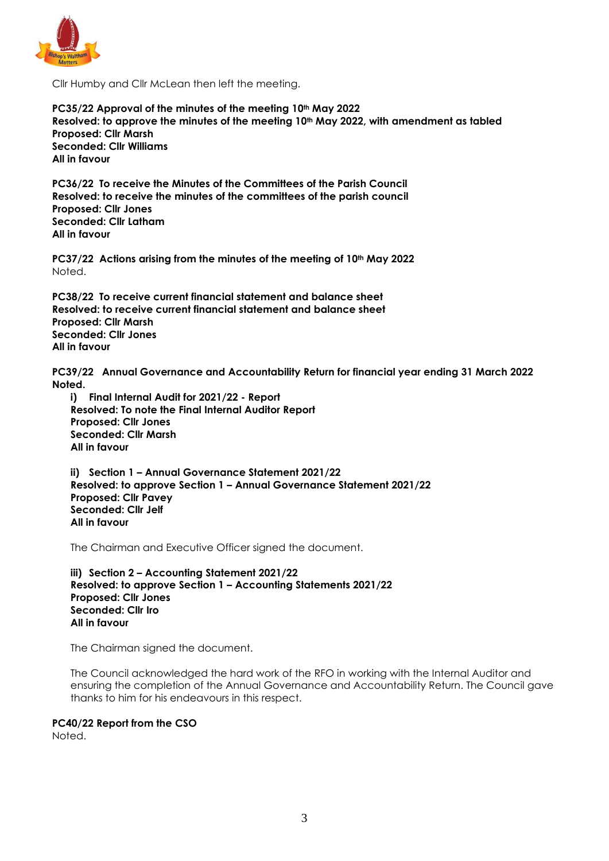

Cllr Humby and Cllr McLean then left the meeting.

**PC35/22 Approval of the minutes of the meeting 10th May 2022 Resolved: to approve the minutes of the meeting 10th May 2022, with amendment as tabled Proposed: Cllr Marsh Seconded: Cllr Williams All in favour**

**PC36/22 To receive the Minutes of the Committees of the Parish Council Resolved: to receive the minutes of the committees of the parish council Proposed: Cllr Jones Seconded: Cllr Latham All in favour**

**PC37/22 Actions arising from the minutes of the meeting of 10th May 2022** Noted.

**PC38/22 To receive current financial statement and balance sheet Resolved: to receive current financial statement and balance sheet Proposed: Cllr Marsh Seconded: Cllr Jones All in favour**

**PC39/22 Annual Governance and Accountability Return for financial year ending 31 March 2022 Noted.**

**i) Final Internal Audit for 2021/22 - Report Resolved: To note the Final Internal Auditor Report Proposed: Cllr Jones Seconded: Cllr Marsh All in favour**

**ii) Section 1 – Annual Governance Statement 2021/22 Resolved: to approve Section 1 – Annual Governance Statement 2021/22 Proposed: Cllr Pavey Seconded: Cllr Jelf All in favour**

The Chairman and Executive Officer signed the document.

**iii) Section 2 – Accounting Statement 2021/22 Resolved: to approve Section 1 – Accounting Statements 2021/22 Proposed: Cllr Jones Seconded: Cllr Iro All in favour**

The Chairman signed the document.

The Council acknowledged the hard work of the RFO in working with the Internal Auditor and ensuring the completion of the Annual Governance and Accountability Return. The Council gave thanks to him for his endeavours in this respect.

#### **PC40/22 Report from the CSO**

Noted.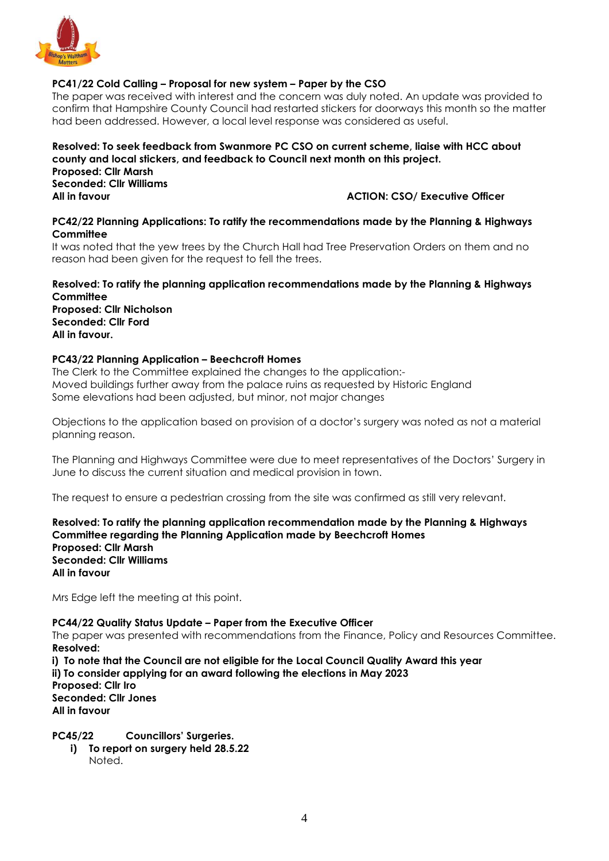

## **PC41/22 Cold Calling – Proposal for new system – Paper by the CSO**

The paper was received with interest and the concern was duly noted. An update was provided to confirm that Hampshire County Council had restarted stickers for doorways this month so the matter had been addressed. However, a local level response was considered as useful.

#### **Resolved: To seek feedback from Swanmore PC CSO on current scheme, liaise with HCC about county and local stickers, and feedback to Council next month on this project. Proposed: Cllr Marsh Seconded: Cllr Williams All in favour ACTION: CSO/ Executive Officer**

#### **PC42/22 Planning Applications: To ratify the recommendations made by the Planning & Highways Committee**

It was noted that the yew trees by the Church Hall had Tree Preservation Orders on them and no reason had been given for the request to fell the trees.

**Resolved: To ratify the planning application recommendations made by the Planning & Highways Committee Proposed: Cllr Nicholson Seconded: Cllr Ford All in favour.**

#### **PC43/22 Planning Application – Beechcroft Homes**

The Clerk to the Committee explained the changes to the application:- Moved buildings further away from the palace ruins as requested by Historic England Some elevations had been adjusted, but minor, not major changes

Objections to the application based on provision of a doctor's surgery was noted as not a material planning reason.

The Planning and Highways Committee were due to meet representatives of the Doctors' Surgery in June to discuss the current situation and medical provision in town.

The request to ensure a pedestrian crossing from the site was confirmed as still very relevant.

**Resolved: To ratify the planning application recommendation made by the Planning & Highways Committee regarding the Planning Application made by Beechcroft Homes Proposed: Cllr Marsh Seconded: Cllr Williams All in favour**

Mrs Edge left the meeting at this point.

**PC44/22 Quality Status Update – Paper from the Executive Officer**

The paper was presented with recommendations from the Finance, Policy and Resources Committee. **Resolved:** 

**i) To note that the Council are not eligible for the Local Council Quality Award this year ii) To consider applying for an award following the elections in May 2023 Proposed: Cllr Iro Seconded: Cllr Jones All in favour**

**PC45/22 Councillors' Surgeries.**

**i) To report on surgery held 28.5.22** Noted.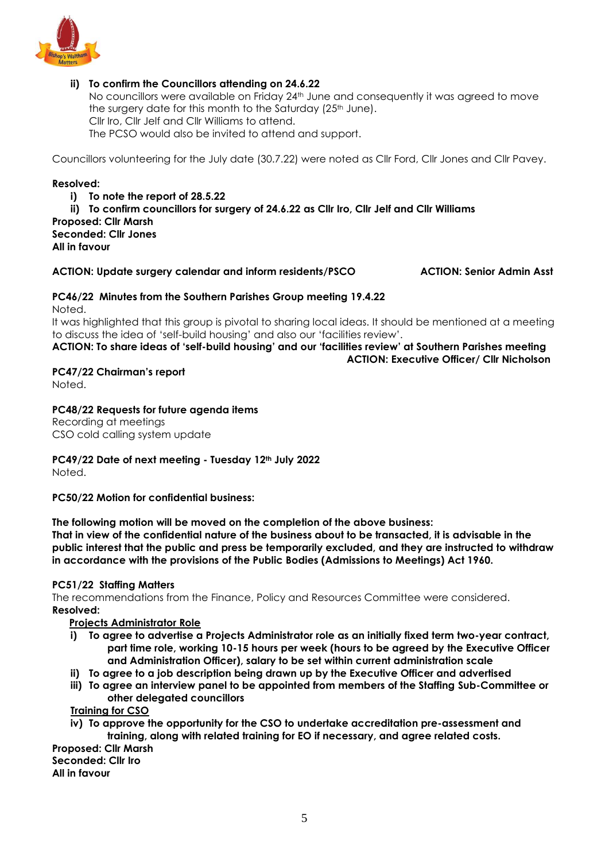

## **ii) To confirm the Councillors attending on 24.6.22**

No councillors were available on Friday 24<sup>th</sup> June and consequently it was agreed to move the surgery date for this month to the Saturday (25<sup>th</sup> June). Cllr Iro, Cllr Jelf and Cllr Williams to attend. The PCSO would also be invited to attend and support.

Councillors volunteering for the July date (30.7.22) were noted as Cllr Ford, Cllr Jones and Cllr Pavey.

#### **Resolved:**

- **i) To note the report of 28.5.22**
- **ii) To confirm councillors for surgery of 24.6.22 as Cllr Iro, Cllr Jelf and Cllr Williams**

# **Proposed: Cllr Marsh**

**Seconded: Cllr Jones All in favour**

#### **ACTION: Update surgery calendar and inform residents/PSCO ACTION: Senior Admin Asst**

# **PC46/22 Minutes from the Southern Parishes Group meeting 19.4.22**

Noted.

It was highlighted that this group is pivotal to sharing local ideas. It should be mentioned at a meeting to discuss the idea of 'self-build housing' and also our 'facilities review'.

## **ACTION: To share ideas of 'self-build housing' and our 'facilities review' at Southern Parishes meeting ACTION: Executive Officer/ Cllr Nicholson**

## **PC47/22 Chairman's report**

Noted.

#### **PC48/22 Requests for future agenda items**

Recording at meetings CSO cold calling system update

**PC49/22 Date of next meeting - Tuesday 12th July 2022**

Noted.

#### **PC50/22 Motion for confidential business:**

**The following motion will be moved on the completion of the above business:**

**That in view of the confidential nature of the business about to be transacted, it is advisable in the public interest that the public and press be temporarily excluded, and they are instructed to withdraw in accordance with the provisions of the Public Bodies (Admissions to Meetings) Act 1960.**

#### **PC51/22 Staffing Matters**

The recommendations from the Finance, Policy and Resources Committee were considered. **Resolved:** 

#### **Projects Administrator Role**

- **i) To agree to advertise a Projects Administrator role as an initially fixed term two-year contract, part time role, working 10-15 hours per week (hours to be agreed by the Executive Officer and Administration Officer), salary to be set within current administration scale**
- **ii) To agree to a job description being drawn up by the Executive Officer and advertised**
- **iii) To agree an interview panel to be appointed from members of the Staffing Sub-Committee or other delegated councillors**

**Training for CSO**

**iv) To approve the opportunity for the CSO to undertake accreditation pre-assessment and training, along with related training for EO if necessary, and agree related costs.**

**Proposed: Cllr Marsh Seconded: Cllr Iro All in favour**